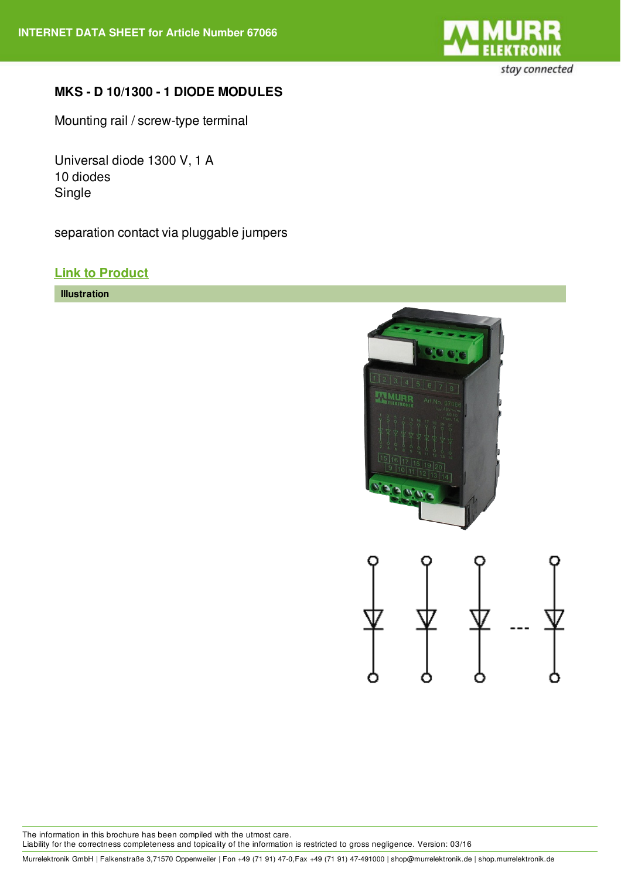

## **MKS - D 10/1300 - 1 DIODE MODULES**

Mounting rail / screw-type terminal

Universal diode 1300 V, 1 A 10 diodes Single

separation contact via pluggable jumpers

## **Link to [Product](http://shop.murrelektronik.de/67066?lang=1)**

**Illustration**





The information in this brochure has been compiled with the utmost care. Liability for the correctness completeness and topicality of the information is restricted to gross negligence. Version: 03/16